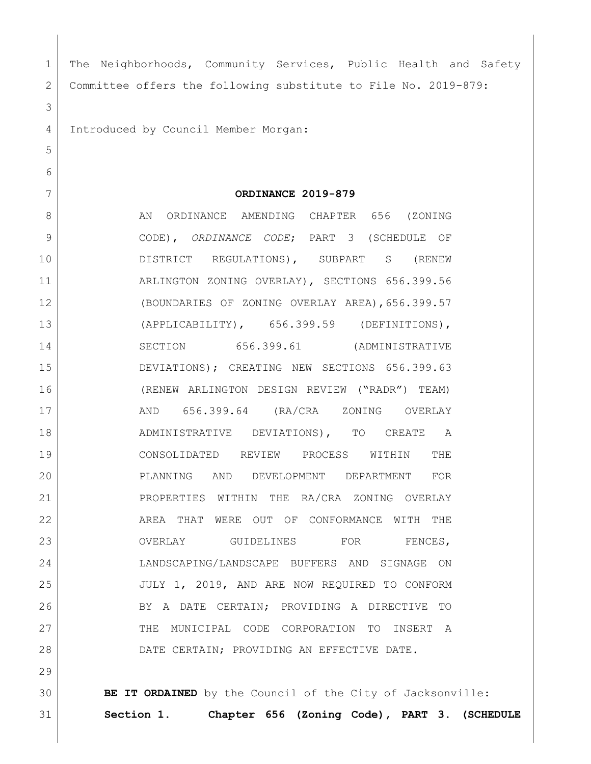| $\mathbf 1$   | The Neighborhoods, Community Services, Public Health and Safety |
|---------------|-----------------------------------------------------------------|
| 2             | Committee offers the following substitute to File No. 2019-879: |
| 3             |                                                                 |
| 4             | Introduced by Council Member Morgan:                            |
| 5             |                                                                 |
| 6             |                                                                 |
| 7             | ORDINANCE 2019-879                                              |
| 8             | AN ORDINANCE AMENDING CHAPTER 656 (ZONING                       |
| $\mathcal{G}$ | CODE), ORDINANCE CODE; PART 3 (SCHEDULE OF                      |
| 10            | DISTRICT REGULATIONS), SUBPART S (RENEW                         |
| 11            | ARLINGTON ZONING OVERLAY), SECTIONS 656.399.56                  |
| 12            | (BOUNDARIES OF ZONING OVERLAY AREA), 656.399.57                 |
| 13            | (APPLICABILITY), 656.399.59 (DEFINITIONS),                      |
| 14            | SECTION 656.399.61 (ADMINISTRATIVE                              |
| 15            | DEVIATIONS); CREATING NEW SECTIONS 656.399.63                   |
| 16            | (RENEW ARLINGTON DESIGN REVIEW ("RADR") TEAM)                   |
| 17            | AND 656.399.64 (RA/CRA ZONING OVERLAY                           |
| 18            | ADMINISTRATIVE DEVIATIONS), TO CREATE A                         |
| 19            | CONSOLIDATED REVIEW PROCESS WITHIN<br>THE                       |
| 20            | PLANNING AND DEVELOPMENT DEPARTMENT FOR                         |
| 21            | PROPERTIES WITHIN THE RA/CRA ZONING OVERLAY                     |
| 22            | AREA THAT WERE OUT OF CONFORMANCE WITH THE                      |
| 23            | OVERLAY GUIDELINES FOR<br>FENCES,                               |
| 24            | LANDSCAPING/LANDSCAPE BUFFERS AND SIGNAGE ON                    |
| 25            | JULY 1, 2019, AND ARE NOW REQUIRED TO CONFORM                   |
| 26            | BY A DATE CERTAIN; PROVIDING A DIRECTIVE<br>TO                  |
| 27            | THE MUNICIPAL CODE CORPORATION TO<br>INSERT A                   |
| 28            | DATE CERTAIN; PROVIDING AN EFFECTIVE DATE.                      |
| 29            |                                                                 |
| 30            | BE IT ORDAINED by the Council of the City of Jacksonville:      |

31 **Section 1. Chapter 656 (Zoning Code), PART 3. (SCHEDULE** 

 $\overline{\phantom{a}}$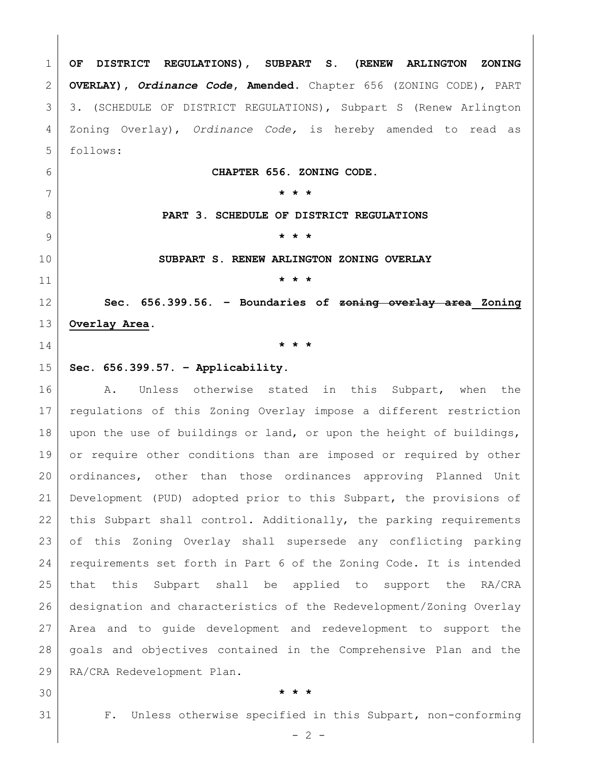**OF DISTRICT REGULATIONS), SUBPART S. (RENEW ARLINGTON ZONING OVERLAY),** *Ordinance Code***, Amended.** Chapter 656 (ZONING CODE), PART 3. (SCHEDULE OF DISTRICT REGULATIONS), Subpart S (Renew Arlington Zoning Overlay), *Ordinance Code,* is hereby amended to read as follows:

**CHAPTER 656. ZONING CODE.**

**\* \* \***

**PART 3. SCHEDULE OF DISTRICT REGULATIONS**

**\* \* \***

**SUBPART S. RENEW ARLINGTON ZONING OVERLAY**

**\* \* \***

 **Sec. 656.399.56. – Boundaries of zoning overlay area Zoning Overlay Area.**

**\* \* \***

## **Sec. 656.399.57. – Applicability.**

16 A. Unless otherwise stated in this Subpart, when the regulations of this Zoning Overlay impose a different restriction upon the use of buildings or land, or upon the height of buildings, 19 or require other conditions than are imposed or required by other ordinances, other than those ordinances approving Planned Unit Development (PUD) adopted prior to this Subpart, the provisions of 22 | this Subpart shall control. Additionally, the parking requirements of this Zoning Overlay shall supersede any conflicting parking requirements set forth in Part 6 of the Zoning Code. It is intended that this Subpart shall be applied to support the RA/CRA designation and characteristics of the Redevelopment/Zoning Overlay Area and to guide development and redevelopment to support the goals and objectives contained in the Comprehensive Plan and the RA/CRA Redevelopment Plan.

## **\* \* \***

F. Unless otherwise specified in this Subpart, non-conforming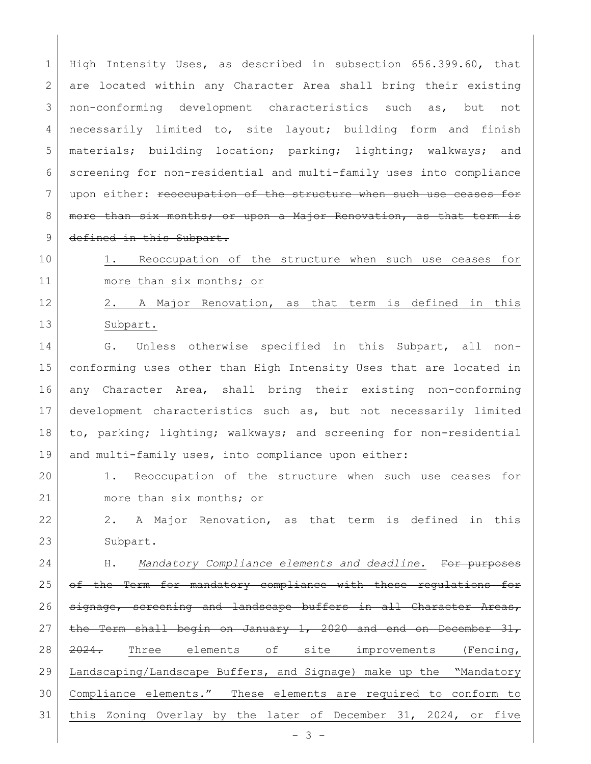1 High Intensity Uses, as described in subsection 656.399.60, that 2 are located within any Character Area shall bring their existing 3 | non-conforming development characteristics such as, but not 4 necessarily limited to, site layout; building form and finish 5 materials; building location; parking; lighting; walkways; and 6 screening for non-residential and multi-family uses into compliance 7 | upon either: reoccupation of the structure when such use ceases for 8 | more than six months; or upon a Major Renovation, as that term is 9 defined in this Subpart.

10 | 1. Reoccupation of the structure when such use ceases for 11 more than six months; or

12 2. A Major Renovation, as that term is defined in this 13 Subpart.

14 G. Unless otherwise specified in this Subpart, all non- conforming uses other than High Intensity Uses that are located in any Character Area, shall bring their existing non-conforming development characteristics such as, but not necessarily limited to, parking; lighting; walkways; and screening for non-residential and multi-family uses, into compliance upon either:

20 1. Reoccupation of the structure when such use ceases for 21 more than six months; or

22 2. A Major Renovation, as that term is defined in this 23 Subpart.

24 H. *Mandatory Compliance elements and deadline.* For purposes 25 of the Term for mandatory compliance with these regulations for 26 signage, screening and landscape buffers in all Character Areas, 27 the Term shall begin on January 1, 2020 and end on December  $31$ , 28 2024. Three elements of site improvements (Fencing, 29 Landscaping/Landscape Buffers, and Signage) make up the "Mandatory 30 Compliance elements." These elements are required to conform to 31 | this Zoning Overlay by the later of December 31, 2024, or five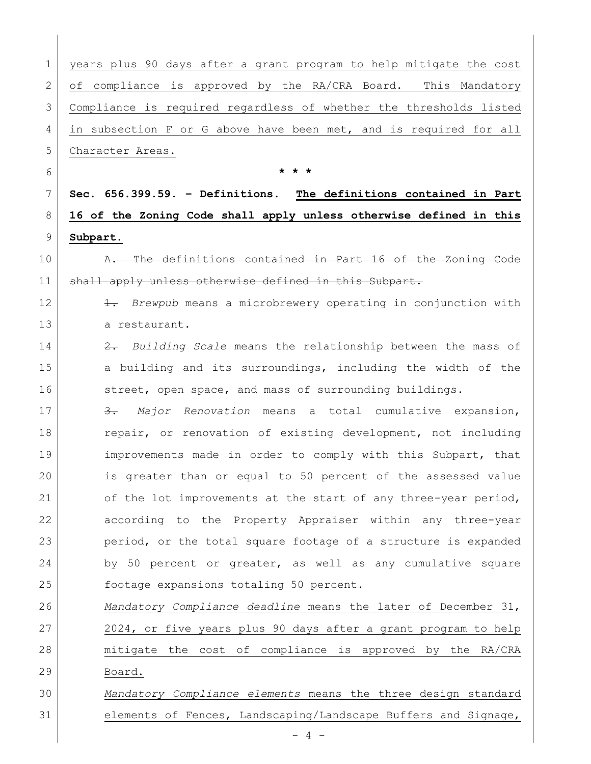years plus 90 days after a grant program to help mitigate the cost 2 of compliance is approved by the RA/CRA Board. This Mandatory Compliance is required regardless of whether the thresholds listed in subsection F or G above have been met, and is required for all 5 Character Areas. **\* \* \* Sec. 656.399.59. – Definitions. The definitions contained in Part 16 of the Zoning Code shall apply unless otherwise defined in this Subpart. A.** The definitions contained in Part 16 of the Zoning Code 11 shall apply unless otherwise defined in this Subpart. 1. *Brewpub* means a microbrewery operating in conjunction with 13 a restaurant. 2. *Building Scale* means the relationship between the mass of 15 a building and its surroundings, including the width of the 16 street, open space, and mass of surrounding buildings. 3. *Major Renovation* means a total cumulative expansion, 18 repair, or renovation of existing development, not including 19 | improvements made in order to comply with this Subpart, that is greater than or equal to 50 percent of the assessed value 21 of the lot improvements at the start of any three-year period, according to the Property Appraiser within any three-year period, or the total square footage of a structure is expanded 24 by 50 percent or greater, as well as any cumulative square 25 | footage expansions totaling 50 percent. *Mandatory Compliance deadline* means the later of December 31, 2024, or five years plus 90 days after a grant program to help mitigate the cost of compliance is approved by the RA/CRA Board. *Mandatory Compliance elements* means the three design standard elements of Fences, Landscaping/Landscape Buffers and Signage,

 $- 4 -$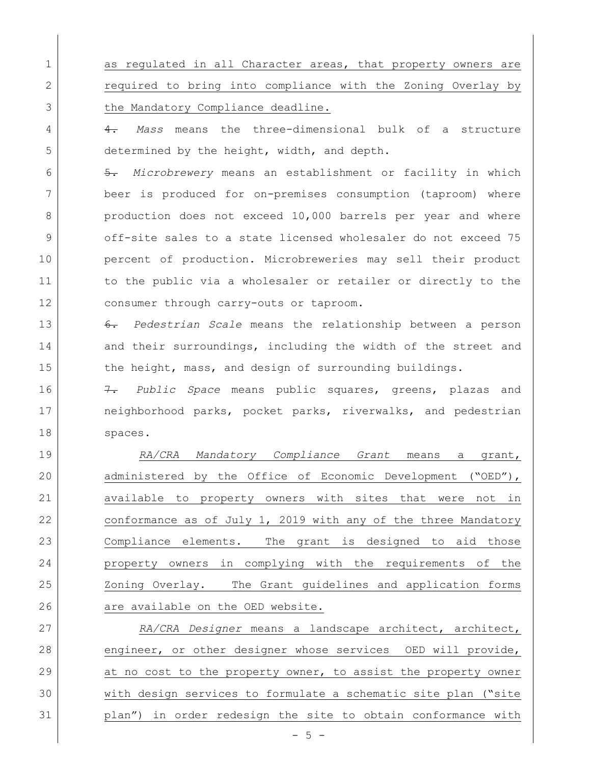1 as regulated in all Character areas, that property owners are 2 **canceleral** required to bring into compliance with the Zoning Overlay by 3 the Mandatory Compliance deadline.

4 4. *Mass* means the three-dimensional bulk of a structure 5 determined by the height, width, and depth.

6 5. *Microbrewery* means an establishment or facility in which 7 beer is produced for on-premises consumption (taproom) where 8 production does not exceed 10,000 barrels per year and where 9 off-site sales to a state licensed wholesaler do not exceed 75 10 percent of production. Microbreweries may sell their product 11 1 to the public via a wholesaler or retailer or directly to the 12 consumer through carry-outs or taproom.

13 6. *Pedestrian Scale* means the relationship between a person 14 and their surroundings, including the width of the street and 15 the height, mass, and design of surrounding buildings.

16 7. *Public Space* means public squares, greens, plazas and 17 | neighborhood parks, pocket parks, riverwalks, and pedestrian 18 spaces.

 *RA/CRA Mandatory Compliance Grant* means a grant, administered by the Office of Economic Development ("OED"), available to property owners with sites that were not in 22 conformance as of July 1, 2019 with any of the three Mandatory Compliance elements. The grant is designed to aid those property owners in complying with the requirements of the 25 Zoning Overlay. The Grant guidelines and application forms 26 are available on the OED website.

27 *RA/CRA Designer* means a landscape architect, architect, 28 engineer, or other designer whose services OED will provide, 29 at no cost to the property owner, to assist the property owner 30 with design services to formulate a schematic site plan ("site 31 plan") in order redesign the site to obtain conformance with

 $- 5 -$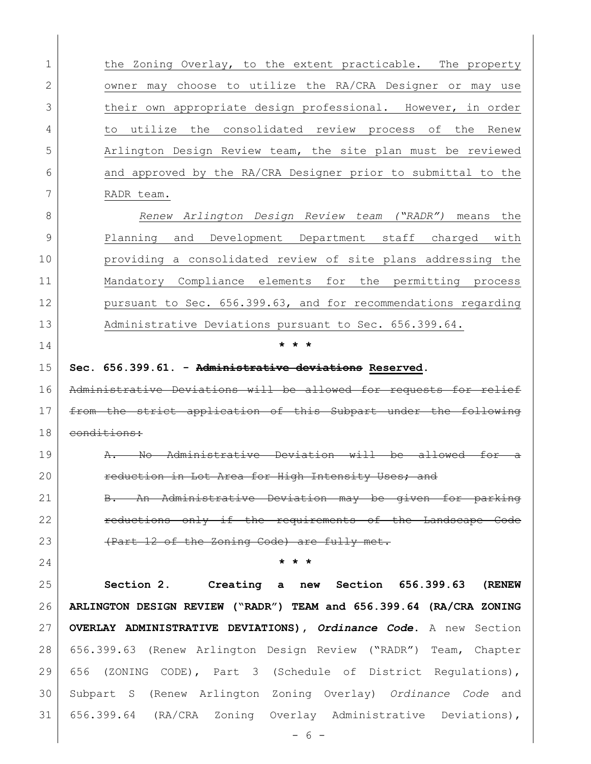| $\mathbf{1}$ | the Zoning Overlay, to the extent practicable. The property         |
|--------------|---------------------------------------------------------------------|
| 2            | owner may choose to utilize the RA/CRA Designer or may use          |
| 3            | their own appropriate design professional. However, in order        |
| 4            | utilize the consolidated review process of the<br>to<br>Renew       |
| 5            | Arlington Design Review team, the site plan must be reviewed        |
| 6            | and approved by the RA/CRA Designer prior to submittal to the       |
| 7            | RADR team.                                                          |
| 8            | Renew Arlington Design Review team ("RADR") means<br>the            |
| 9            | Planning and Development Department staff charged with              |
| 10           | providing a consolidated review of site plans addressing the        |
| 11           | Mandatory Compliance elements for the permitting process            |
| 12           | pursuant to Sec. 656.399.63, and for recommendations regarding      |
| 13           | Administrative Deviations pursuant to Sec. 656.399.64.              |
| 14           |                                                                     |
| 15           | Sec. 656.399.61. - Administrative deviations Reserved.              |
| 16           | strative Deviations will be allowed for requests for reli           |
| 17           | from the strict application of this Subpart under the following     |
| 18           | conditions:                                                         |
| 19           | $\overline{\text{No}}$<br>Admini<br>للنسد<br>-be<br>on.             |
| 20           | reduction in Lot Area for High Intensity Uses; and                  |
| 21           |                                                                     |
|              | B. An Administrative Deviation may be given for parking             |
| 22           | reductions only if the requirements of the Landscape Code           |
| 23           | (Part 12 of the Zoning Code) are fully met.                         |
| 24           | $\star$ $\star$ $\star$                                             |
| 25           | Section 2. Creating a new Section 656.399.63 (RENEW                 |
| 26           | ARLINGTON DESIGN REVIEW ("RADR") TEAM and 656.399.64 (RA/CRA ZONING |
| 27           | OVERLAY ADMINISTRATIVE DEVIATIONS), Ordinance Code. A new Section   |
| 28           | 656.399.63 (Renew Arlington Design Review ("RADR") Team, Chapter    |
| 29           | 656 (ZONING CODE), Part 3 (Schedule of District Regulations),       |
| 30           | Subpart S (Renew Arlington Zoning Overlay) Ordinance Code and       |
| 31           | 656.399.64 (RA/CRA Zoning Overlay Administrative Deviations),       |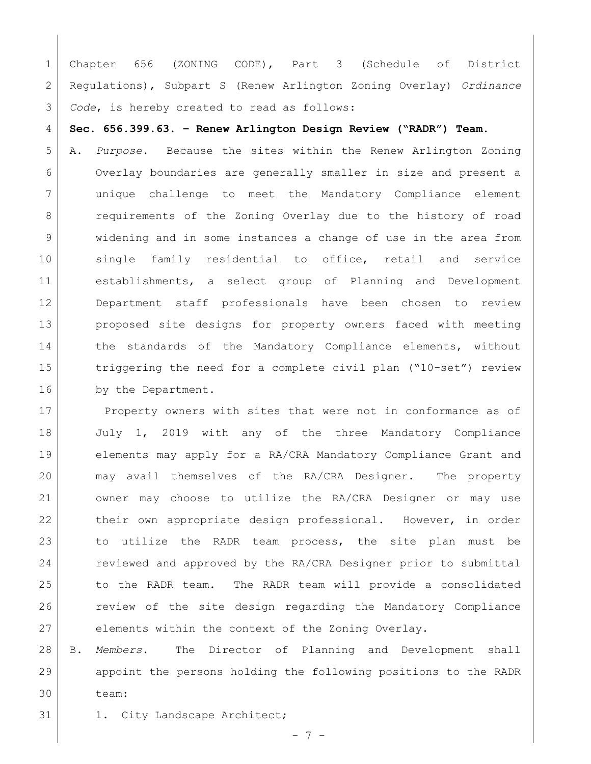Chapter 656 (ZONING CODE), Part 3 (Schedule of District Regulations), Subpart S (Renew Arlington Zoning Overlay) *Ordinance Code*, is hereby created to read as follows:

**Sec. 656.399.63. – Renew Arlington Design Review ("RADR") Team.**

 A. *Purpose.* Because the sites within the Renew Arlington Zoning Overlay boundaries are generally smaller in size and present a unique challenge to meet the Mandatory Compliance element 8 | requirements of the Zoning Overlay due to the history of road widening and in some instances a change of use in the area from 10 single family residential to office, retail and service establishments, a select group of Planning and Development Department staff professionals have been chosen to review proposed site designs for property owners faced with meeting 14 the standards of the Mandatory Compliance elements, without 15 triggering the need for a complete civil plan ("10-set") review 16 by the Department.

17 Property owners with sites that were not in conformance as of July 1, 2019 with any of the three Mandatory Compliance elements may apply for a RA/CRA Mandatory Compliance Grant and may avail themselves of the RA/CRA Designer. The property owner may choose to utilize the RA/CRA Designer or may use 22 their own appropriate design professional. However, in order 23 to utilize the RADR team process, the site plan must be 24 reviewed and approved by the RA/CRA Designer prior to submittal to the RADR team. The RADR team will provide a consolidated **review of the site design regarding the Mandatory Compliance** elements within the context of the Zoning Overlay.

 B. *Members*. The Director of Planning and Development shall appoint the persons holding the following positions to the RADR team:

31 1. City Landscape Architect;

7 -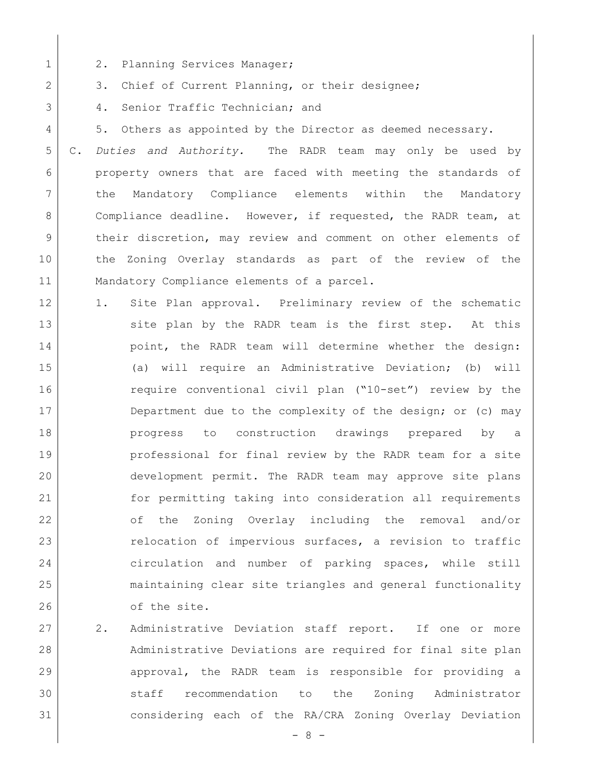- 1 2. Planning Services Manager;
- 2 3. Chief of Current Planning, or their designee;
- 3 4. Senior Traffic Technician; and
- 4 5. Others as appointed by the Director as deemed necessary.

 C. *Duties and Authority.* The RADR team may only be used by property owners that are faced with meeting the standards of the Mandatory Compliance elements within the Mandatory 8 Compliance deadline. However, if requested, the RADR team, at their discretion, may review and comment on other elements of the Zoning Overlay standards as part of the review of the 11 | Mandatory Compliance elements of a parcel.

- 12 1. Site Plan approval. Preliminary review of the schematic 13 site plan by the RADR team is the first step. At this 14 | point, the RADR team will determine whether the design: 15 (a) will require an Administrative Deviation; (b) will 16 require conventional civil plan ("10-set") review by the 17 Department due to the complexity of the design; or (c) may 18 **progress** to construction drawings prepared by a 19 **professional for final review by the RADR team for a site** 20 development permit. The RADR team may approve site plans 21 for permitting taking into consideration all requirements 22 of the Zoning Overlay including the removal and/or 23 relocation of impervious surfaces, a revision to traffic 24 circulation and number of parking spaces, while still 25 maintaining clear site triangles and general functionality 26 of the site.
- 27 2. Administrative Deviation staff report. If one or more 28 Administrative Deviations are required for final site plan 29 approval, the RADR team is responsible for providing a 30 staff recommendation to the Zoning Administrator 31 considering each of the RA/CRA Zoning Overlay Deviation

- 8 -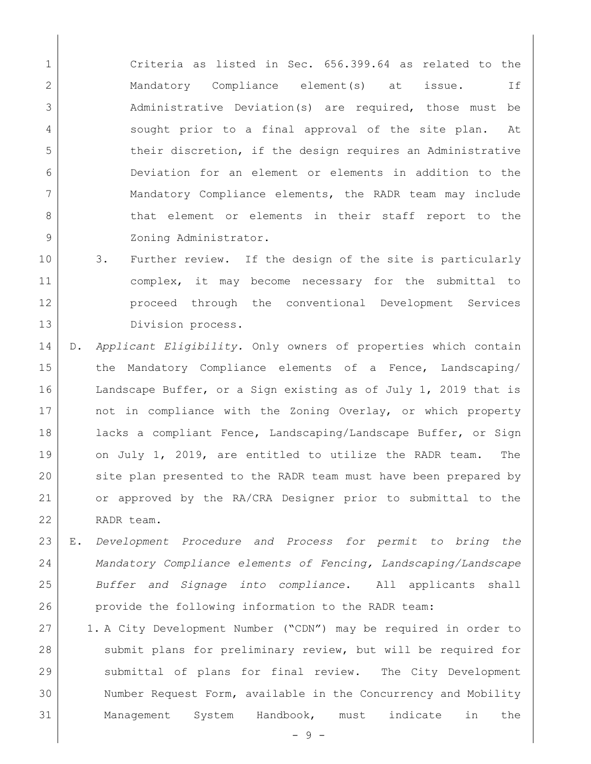1 Criteria as listed in Sec. 656.399.64 as related to the 2 1 Mandatory Compliance element(s) at issue. If 3 Administrative Deviation(s) are required, those must be 4 | sought prior to a final approval of the site plan. At 5 their discretion, if the design requires an Administrative 6 Deviation for an element or elements in addition to the 7 Mandatory Compliance elements, the RADR team may include 8 b that element or elements in their staff report to the 9 | Zoning Administrator.

- 10 3. Further review. If the design of the site is particularly 11 complex, it may become necessary for the submittal to 12 proceed through the conventional Development Services 13 Division process.
- 14 D. *Applicant Eligibility.* Only owners of properties which contain 15 the Mandatory Compliance elements of a Fence, Landscaping/ 16 Landscape Buffer, or a Sign existing as of July 1, 2019 that is 17 | not in compliance with the Zoning Overlay, or which property 18 lacks a compliant Fence, Landscaping/Landscape Buffer, or Sign 19 on July 1, 2019, are entitled to utilize the RADR team. The 20 site plan presented to the RADR team must have been prepared by 21 or approved by the RA/CRA Designer prior to submittal to the 22 RADR team.
- 23 E. *Development Procedure and Process for permit to bring the*  24 *Mandatory Compliance elements of Fencing, Landscaping/Landscape*  25 *Buffer and Signage into compliance*. All applicants shall 26 provide the following information to the RADR team:
- 27 1. A City Development Number ("CDN") may be required in order to 28 submit plans for preliminary review, but will be required for 29 submittal of plans for final review. The City Development 30 Number Request Form, available in the Concurrency and Mobility 31 Management System Handbook, must indicate in the

- 9 -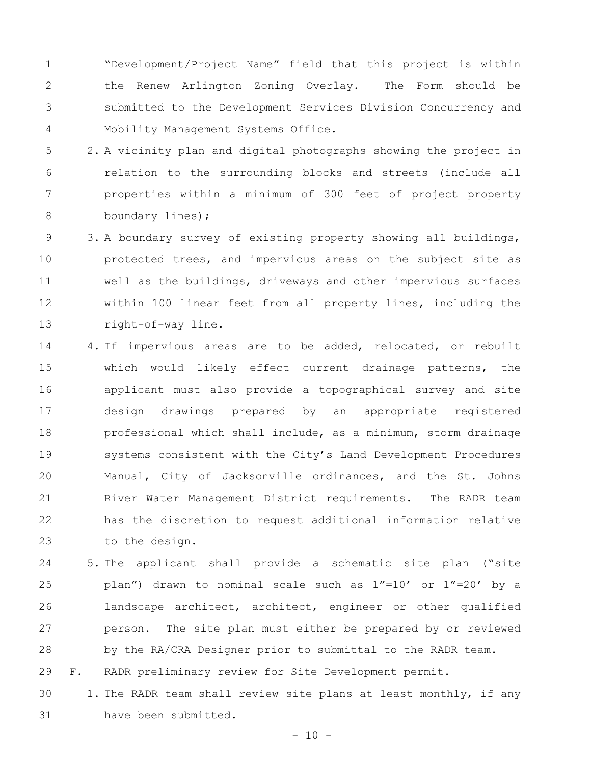1 | "Development/Project Name" field that this project is within 2 | the Renew Arlington Zoning Overlay. The Form should be 3 submitted to the Development Services Division Concurrency and 4 | Mobility Management Systems Office.

- 5 2. A vicinity plan and digital photographs showing the project in 6 relation to the surrounding blocks and streets (include all 7 properties within a minimum of 300 feet of project property 8 boundary lines);
- 9 3. A boundary survey of existing property showing all buildings, 10 protected trees, and impervious areas on the subject site as 11 Well as the buildings, driveways and other impervious surfaces 12 within 100 linear feet from all property lines, including the 13 right-of-way line.
- 14 | 4. If impervious areas are to be added, relocated, or rebuilt 15 Which would likely effect current drainage patterns, the 16 applicant must also provide a topographical survey and site 17 design drawings prepared by an appropriate registered 18 professional which shall include, as a minimum, storm drainage 19 Systems consistent with the City's Land Development Procedures 20 Manual, City of Jacksonville ordinances, and the St. Johns 21 River Water Management District requirements. The RADR team 22 has the discretion to request additional information relative 23 to the design.
- 24 5. The applicant shall provide a schematic site plan ("site 25 plan") drawn to nominal scale such as 1"=10' or 1"=20' by a 26 landscape architect, architect, engineer or other qualified 27 person. The site plan must either be prepared by or reviewed 28 by the RA/CRA Designer prior to submittal to the RADR team.
- 29 F. RADR preliminary review for Site Development permit.
- 30 1. The RADR team shall review site plans at least monthly, if any 31 have been submitted.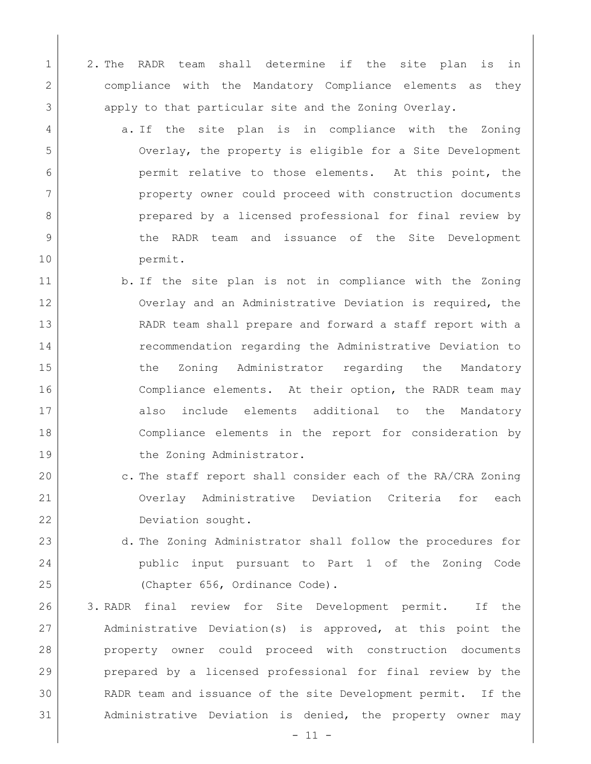- 1 2. The RADR team shall determine if the site plan is in 2 compliance with the Mandatory Compliance elements as they 3 apply to that particular site and the Zoning Overlay.
- 4 a. If the site plan is in compliance with the Zoning 5 Overlay, the property is eligible for a Site Development 6 **permit relative to those elements.** At this point, the 7 property owner could proceed with construction documents 8 prepared by a licensed professional for final review by 9 the RADR team and issuance of the Site Development 10 permit.
- 11 b. If the site plan is not in compliance with the Zoning 12 Overlay and an Administrative Deviation is required, the 13 RADR team shall prepare and forward a staff report with a 14 **recommendation regarding the Administrative Deviation to** 15 15 the Zoning Administrator regarding the Mandatory 16 Compliance elements. At their option, the RADR team may 17 also include elements additional to the Mandatory 18 Compliance elements in the report for consideration by 19 the Zoning Administrator.
- 20 c. The staff report shall consider each of the RA/CRA Zoning 21 Overlay Administrative Deviation Criteria for each 22 Deviation sought.
- 23 d. The Zoning Administrator shall follow the procedures for 24 public input pursuant to Part 1 of the Zoning Code 25 (Chapter 656, Ordinance Code).
- 26 3. RADR final review for Site Development permit. If the 27 Administrative Deviation(s) is approved, at this point the 28 property owner could proceed with construction documents 29 prepared by a licensed professional for final review by the 30 RADR team and issuance of the site Development permit. If the 31 Administrative Deviation is denied, the property owner may

 $-11 -$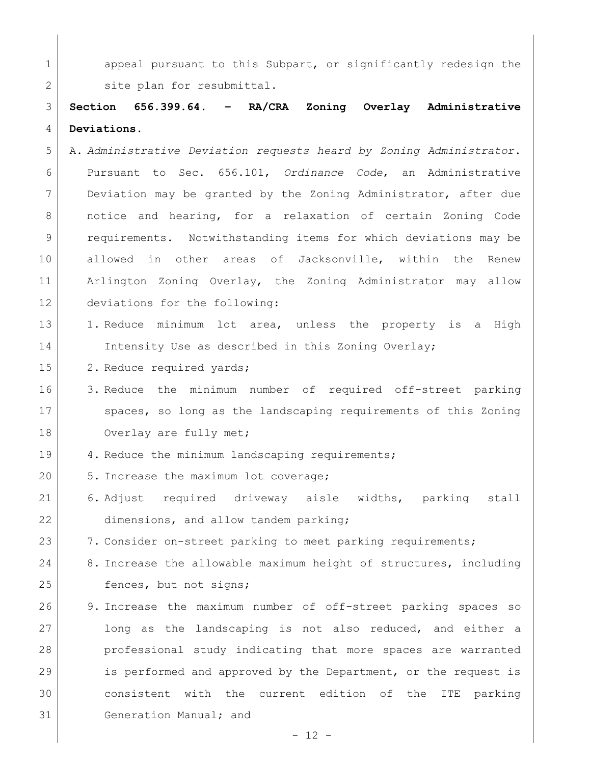1 appeal pursuant to this Subpart, or significantly redesign the 2 Site plan for resubmittal.

3 **Section 656.399.64. – RA/CRA Zoning Overlay Administrative**  4 **Deviations.** 

- 5 A. *Administrative Deviation requests heard by Zoning Administrator*. 6 Pursuant to Sec. 656.101, *Ordinance Code*, an Administrative 7 Deviation may be granted by the Zoning Administrator, after due 8 notice and hearing, for a relaxation of certain Zoning Code 9 requirements. Notwithstanding items for which deviations may be 10 allowed in other areas of Jacksonville, within the Renew 11 Arlington Zoning Overlay, the Zoning Administrator may allow 12 deviations for the following:
- 13 1. Reduce minimum lot area, unless the property is a High 14 Intensity Use as described in this Zoning Overlay;
- 15 2. Reduce required yards;
- 16 3. Reduce the minimum number of required off-street parking 17 spaces, so long as the landscaping requirements of this Zoning 18 Overlay are fully met;
- 19 4. Reduce the minimum landscaping requirements;
- 20 5. Increase the maximum lot coverage;
- 21 6. Adjust required driveway aisle widths, parking stall 22 dimensions, and allow tandem parking;
- 23 7. Consider on-street parking to meet parking requirements;
- 24 8. Increase the allowable maximum height of structures, including 25 fences, but not signs;
- 26 9. Increase the maximum number of off-street parking spaces so 27 long as the landscaping is not also reduced, and either a 28 professional study indicating that more spaces are warranted 29 is performed and approved by the Department, or the request is 30 consistent with the current edition of the ITE parking 31 Generation Manual; and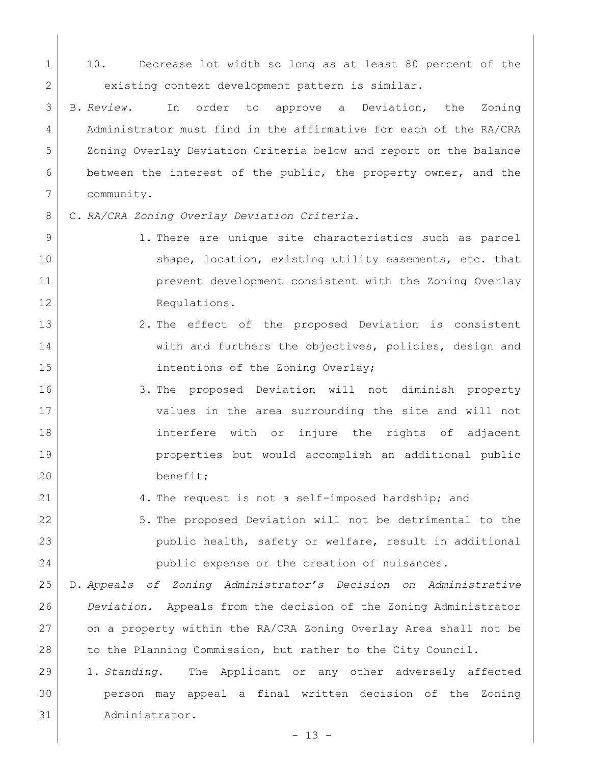1 10. Decrease lot width so long as at least 80 percent of the 2 existing context development pattern is similar.

 B. *Review.* In order to approve a Deviation, the Zoning Administrator must find in the affirmative for each of the RA/CRA Zoning Overlay Deviation Criteria below and report on the balance between the interest of the public, the property owner, and the community.

C. *RA/CRA Zoning Overlay Deviation Criteria.*

- 9 1. There are unique site characteristics such as parcel 10 Shape, location, existing utility easements, etc. that **prevent development consistent with the Zoning Overlay** 12 Regulations.
- 13 2. The effect of the proposed Deviation is consistent 14 with and furthers the objectives, policies, design and 15 | intentions of the Zoning Overlay;
- 3. The proposed Deviation will not diminish property values in the area surrounding the site and will not interfere with or injure the rights of adjacent properties but would accomplish an additional public benefit;
- 4. The request is not a self-imposed hardship; and
- 5. The proposed Deviation will not be detrimental to the public health, safety or welfare, result in additional public expense or the creation of nuisances.

 D. *Appeals of Zoning Administrator's Decision on Administrative Deviation.* Appeals from the decision of the Zoning Administrator on a property within the RA/CRA Zoning Overlay Area shall not be 28 to the Planning Commission, but rather to the City Council.

 1. *Standing.* The Applicant or any other adversely affected person may appeal a final written decision of the Zoning Administrator.

 $- 13 -$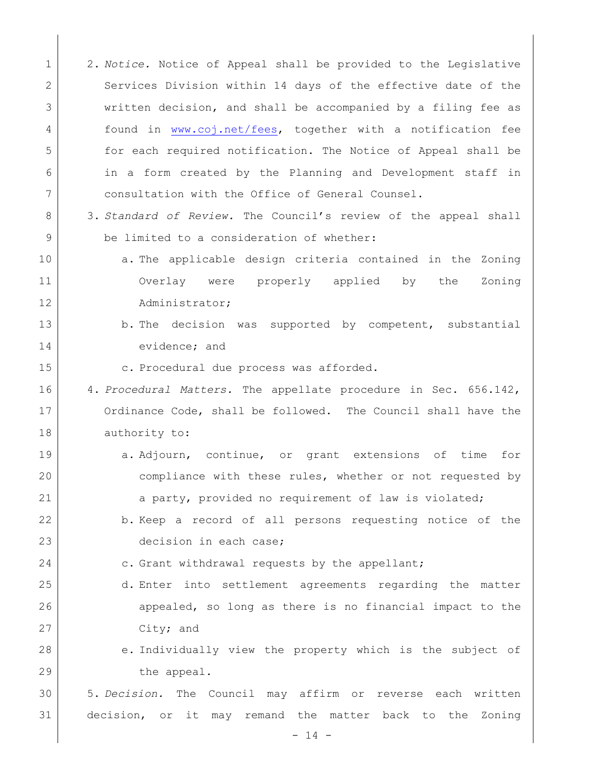1 2. *Notice.* Notice of Appeal shall be provided to the Legislative 2 Services Division within 14 days of the effective date of the 3 written decision, and shall be accompanied by a filing fee as 4 found in [www.coj.net/fees,](http://www.coj.net/fees) together with a notification fee 5 for each required notification. The Notice of Appeal shall be 6 in a form created by the Planning and Development staff in 7 consultation with the Office of General Counsel. 8 3. *Standard of Review.* The Council's review of the appeal shall 9 be limited to a consideration of whether: 10 a. The applicable design criteria contained in the Zoning 11 Overlay were properly applied by the Zoning 12 Administrator; 13 b. The decision was supported by competent, substantial 14 evidence; and 15 | c. Procedural due process was afforded. 16 4. *Procedural Matters.* The appellate procedure in Sec. 656.142, 17 Ordinance Code, shall be followed. The Council shall have the 18 authority to: 19 a. Adjourn, continue, or grant extensions of time for 20 compliance with these rules, whether or not requested by 21 a party, provided no requirement of law is violated; 22 b. Keep a record of all persons requesting notice of the 23 decision in each case; 24 c. Grant withdrawal requests by the appellant; 25 d. Enter into settlement agreements regarding the matter 26 appealed, so long as there is no financial impact to the 27 City; and 28 e. Individually view the property which is the subject of 29 the appeal. 30 5. *Decision.* The Council may affirm or reverse each written 31 decision, or it may remand the matter back to the Zoning

 $- 14 -$